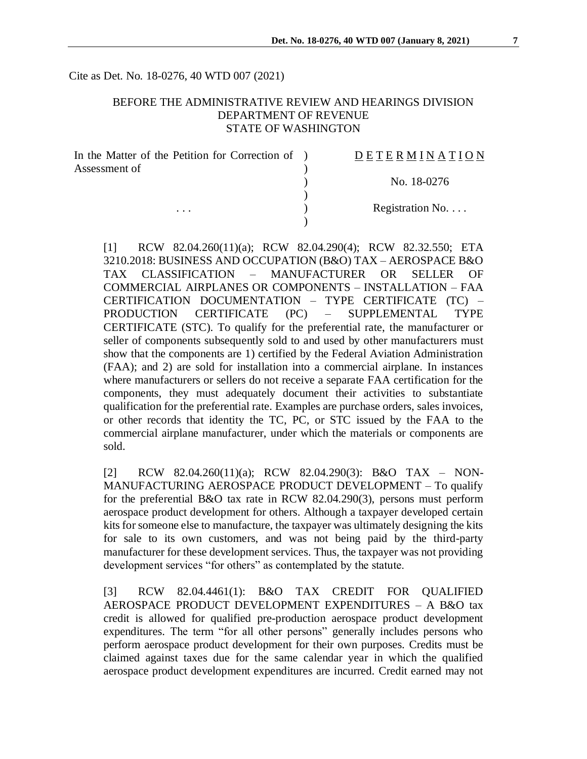Cite as Det. No. 18-0276, 40 WTD 007 (2021)

#### BEFORE THE ADMINISTRATIVE REVIEW AND HEARINGS DIVISION DEPARTMENT OF REVENUE STATE OF WASHINGTON

| In the Matter of the Petition for Correction of ) | DETERMINATION            |
|---------------------------------------------------|--------------------------|
| Assessment of<br>$\cdots$                         | No. 18-0276              |
|                                                   |                          |
|                                                   | Registration No. $\dots$ |
|                                                   |                          |

[1] RCW 82.04.260(11)(a); RCW 82.04.290(4); RCW 82.32.550; ETA 3210.2018: BUSINESS AND OCCUPATION (B&O) TAX – AEROSPACE B&O TAX CLASSIFICATION – MANUFACTURER OR SELLER OF COMMERCIAL AIRPLANES OR COMPONENTS – INSTALLATION – FAA CERTIFICATION DOCUMENTATION – TYPE CERTIFICATE (TC) – PRODUCTION CERTIFICATE (PC) – SUPPLEMENTAL TYPE CERTIFICATE (STC). To qualify for the preferential rate, the manufacturer or seller of components subsequently sold to and used by other manufacturers must show that the components are 1) certified by the Federal Aviation Administration (FAA); and 2) are sold for installation into a commercial airplane. In instances where manufacturers or sellers do not receive a separate FAA certification for the components, they must adequately document their activities to substantiate qualification for the preferential rate. Examples are purchase orders, sales invoices, or other records that identity the TC, PC, or STC issued by the FAA to the commercial airplane manufacturer, under which the materials or components are sold.

[2] RCW 82.04.260(11)(a); RCW 82.04.290(3): B&O TAX – NON-MANUFACTURING AEROSPACE PRODUCT DEVELOPMENT – To qualify for the preferential B&O tax rate in RCW 82.04.290(3), persons must perform aerospace product development for others. Although a taxpayer developed certain kits for someone else to manufacture, the taxpayer was ultimately designing the kits for sale to its own customers, and was not being paid by the third-party manufacturer for these development services. Thus, the taxpayer was not providing development services "for others" as contemplated by the statute.

[3] RCW 82.04.4461(1): B&O TAX CREDIT FOR QUALIFIED AEROSPACE PRODUCT DEVELOPMENT EXPENDITURES – A B&O tax credit is allowed for qualified pre-production aerospace product development expenditures. The term "for all other persons" generally includes persons who perform aerospace product development for their own purposes. Credits must be claimed against taxes due for the same calendar year in which the qualified aerospace product development expenditures are incurred. Credit earned may not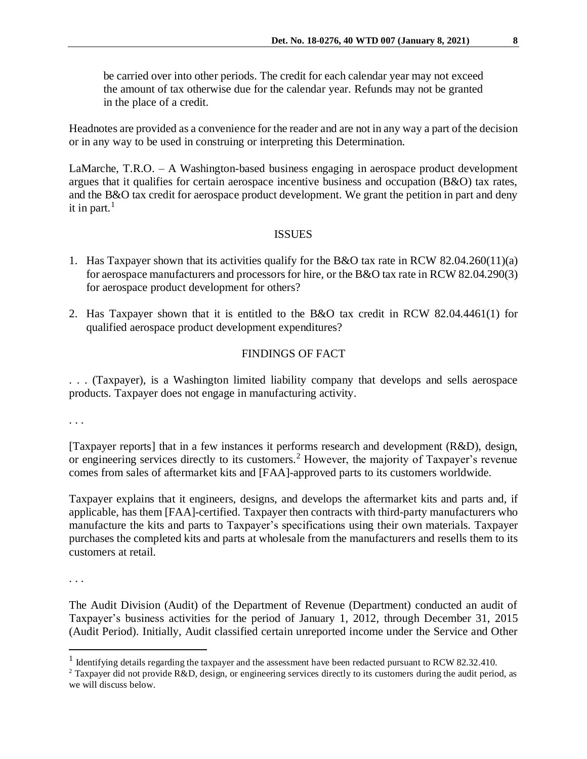be carried over into other periods. The credit for each calendar year may not exceed the amount of tax otherwise due for the calendar year. Refunds may not be granted in the place of a credit.

Headnotes are provided as a convenience for the reader and are not in any way a part of the decision or in any way to be used in construing or interpreting this Determination.

LaMarche, T.R.O. – A Washington-based business engaging in aerospace product development argues that it qualifies for certain aerospace incentive business and occupation (B&O) tax rates, and the B&O tax credit for aerospace product development. We grant the petition in part and deny it in part. $<sup>1</sup>$ </sup>

#### **ISSUES**

- 1. Has Taxpayer shown that its activities qualify for the B&O tax rate in RCW 82.04.260(11)(a) for aerospace manufacturers and processors for hire, or the B&O tax rate in RCW 82.04.290(3) for aerospace product development for others?
- 2. Has Taxpayer shown that it is entitled to the B&O tax credit in RCW 82.04.4461(1) for qualified aerospace product development expenditures?

## FINDINGS OF FACT

. . . (Taxpayer), is a Washington limited liability company that develops and sells aerospace products. Taxpayer does not engage in manufacturing activity.

. . .

[Taxpayer reports] that in a few instances it performs research and development (R&D), design, or engineering services directly to its customers. <sup>2</sup> However, the majority of Taxpayer's revenue comes from sales of aftermarket kits and [FAA]-approved parts to its customers worldwide.

Taxpayer explains that it engineers, designs, and develops the aftermarket kits and parts and, if applicable, has them [FAA]-certified. Taxpayer then contracts with third-party manufacturers who manufacture the kits and parts to Taxpayer's specifications using their own materials. Taxpayer purchases the completed kits and parts at wholesale from the manufacturers and resells them to its customers at retail.

. . .

 $\overline{a}$ 

The Audit Division (Audit) of the Department of Revenue (Department) conducted an audit of Taxpayer's business activities for the period of January 1, 2012, through December 31, 2015 (Audit Period). Initially, Audit classified certain unreported income under the Service and Other

<sup>&</sup>lt;sup>1</sup> Identifying details regarding the taxpayer and the assessment have been redacted pursuant to RCW 82.32.410.

<sup>&</sup>lt;sup>2</sup> Taxpayer did not provide R&D, design, or engineering services directly to its customers during the audit period, as we will discuss below.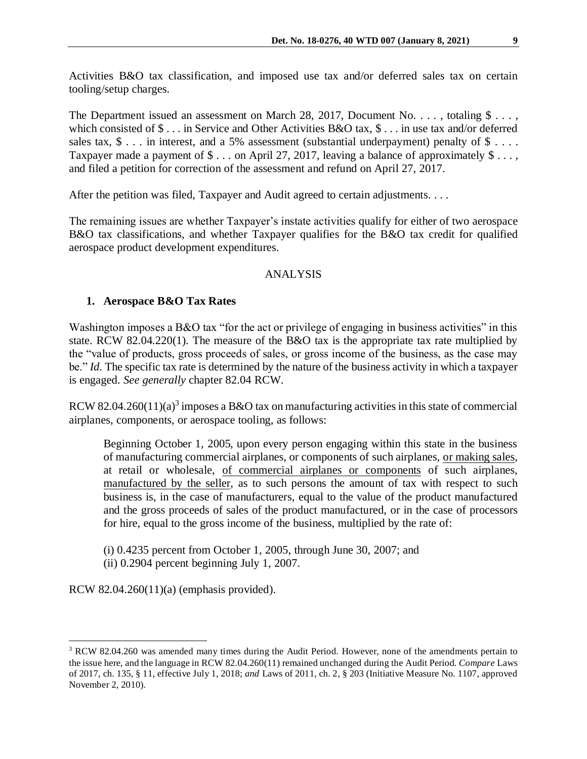Activities B&O tax classification, and imposed use tax and/or deferred sales tax on certain tooling/setup charges.

The Department issued an assessment on March 28, 2017, Document No. . . . , totaling \$ . . . , which consisted of \$ . . . in Service and Other Activities B&O tax, \$ . . . in use tax and/or deferred sales tax,  $\$ \dots$  in interest, and a 5% assessment (substantial underpayment) penalty of  $\$ \dots$ . Taxpayer made a payment of  $\$\dots$  on April 27, 2017, leaving a balance of approximately  $\$\dots$ , and filed a petition for correction of the assessment and refund on April 27, 2017.

After the petition was filed, Taxpayer and Audit agreed to certain adjustments. . . .

The remaining issues are whether Taxpayer's instate activities qualify for either of two aerospace B&O tax classifications, and whether Taxpayer qualifies for the B&O tax credit for qualified aerospace product development expenditures.

## ANALYSIS

## **1. Aerospace B&O Tax Rates**

Washington imposes a B&O tax "for the act or privilege of engaging in business activities" in this state. RCW 82.04.220(1). The measure of the B&O tax is the appropriate tax rate multiplied by the "value of products, gross proceeds of sales, or gross income of the business, as the case may be." *Id.* The specific tax rate is determined by the nature of the business activity in which a taxpayer is engaged. *See generally* chapter 82.04 RCW.

RCW 82.04.260(11)(a)<sup>3</sup> imposes a B&O tax on manufacturing activities in this state of commercial airplanes, components, or aerospace tooling, as follows:

Beginning October 1, 2005, upon every person engaging within this state in the business of manufacturing commercial airplanes, or components of such airplanes, or making sales, at retail or wholesale, of commercial airplanes or components of such airplanes, manufactured by the seller, as to such persons the amount of tax with respect to such business is, in the case of manufacturers, equal to the value of the product manufactured and the gross proceeds of sales of the product manufactured, or in the case of processors for hire, equal to the gross income of the business, multiplied by the rate of:

(i) 0.4235 percent from October 1, 2005, through June 30, 2007; and (ii) 0.2904 percent beginning July 1, 2007.

RCW 82.04.260(11)(a) (emphasis provided).

 $\overline{a}$ 

<sup>&</sup>lt;sup>3</sup> RCW 82.04.260 was amended many times during the Audit Period. However, none of the amendments pertain to the issue here, and the language in RCW 82.04.260(11) remained unchanged during the Audit Period*. Compare* Laws o[f 2017, ch. 135, § 11, effective July 1, 2018;](http://lawfilesext.leg.wa.gov/biennium/2017-18/Pdf/Bills/Session%20Laws/House/1296-S.SL.pdf?cite=2017%20c%20135%20§%2011.) *and* Laws of 2011, ch. 2, § 203 (Initiative Measure No. 1107, approved November 2, 2010).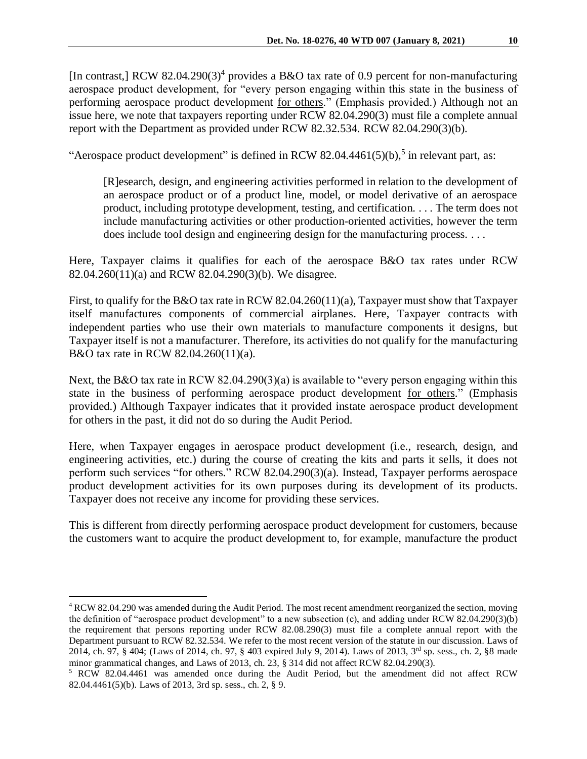[In contrast,] RCW 82.04.290(3)<sup>4</sup> provides a B&O tax rate of 0.9 percent for non-manufacturing aerospace product development, for "every person engaging within this state in the business of performing aerospace product development for others." (Emphasis provided.) Although not an issue here, we note that taxpayers reporting under RCW 82.04.290(3) must file a complete annual report with the Department as provided under RCW 82.32.534. RCW 82.04.290(3)(b).

"Aerospace product development" is defined in RCW 82.04.4461(5)(b),<sup>5</sup> in relevant part, as:

[R]esearch, design, and engineering activities performed in relation to the development of an aerospace product or of a product line, model, or model derivative of an aerospace product, including prototype development, testing, and certification. . . . The term does not include manufacturing activities or other production-oriented activities, however the term does include tool design and engineering design for the manufacturing process. . . .

Here, Taxpayer claims it qualifies for each of the aerospace B&O tax rates under RCW 82.04.260(11)(a) and RCW 82.04.290(3)(b). We disagree.

First, to qualify for the B&O tax rate in RCW 82.04.260(11)(a), Taxpayer must show that Taxpayer itself manufactures components of commercial airplanes. Here, Taxpayer contracts with independent parties who use their own materials to manufacture components it designs, but Taxpayer itself is not a manufacturer. Therefore, its activities do not qualify for the manufacturing B&O tax rate in RCW 82.04.260(11)(a).

Next, the B&O tax rate in RCW 82.04.290(3)(a) is available to "every person engaging within this state in the business of performing aerospace product development for others." (Emphasis provided.) Although Taxpayer indicates that it provided instate aerospace product development for others in the past, it did not do so during the Audit Period.

Here, when Taxpayer engages in aerospace product development (i.e., research, design, and engineering activities, etc.) during the course of creating the kits and parts it sells, it does not perform such services "for others." RCW 82.04.290(3)(a). Instead, Taxpayer performs aerospace product development activities for its own purposes during its development of its products. Taxpayer does not receive any income for providing these services.

This is different from directly performing aerospace product development for customers, because the customers want to acquire the product development to, for example, manufacture the product

 $\overline{a}$ 

<sup>&</sup>lt;sup>4</sup> RCW 82.04.290 was amended during the Audit Period. The most recent amendment reorganized the section, moving the definition of "aerospace product development" to a new subsection (c), and adding under RCW 82.04.290(3)(b) the requirement that persons reporting under RCW 82.08.290(3) must file a complete annual report with the Department pursuant to RCW 82.32.534. We refer to the most recent version of the statute in our discussion. Laws of [2014, ch. 97, § 404;](http://lawfilesext.leg.wa.gov/biennium/2013-14/Pdf/Bills/Session%20Laws/Senate/6333-S.SL.pdf?cite=2014%20c%2097%20§%20404;) (Laws of 2014, ch. 97, § 403 expired July 9, 2014). Laws of 2013, 3rd sp. sess., ch. 2, §8 made minor grammatical changes, and Laws of 2013, ch. 23, § 314 did not affect RCW 82.04.290(3).

<sup>5</sup> RCW 82.04.4461 was amended once during the Audit Period, but the amendment did not affect RCW 82.04.4461(5)(b). Laws of 2013, [3rd sp.](http://lawfilesext.leg.wa.gov/biennium/2013-14/Pdf/Bills/Session%20Laws/Senate/5952-S.SL.pdf?cite=2013%203rd%20sp.s.%20c%202%20§%209;) sess., ch. 2, § 9.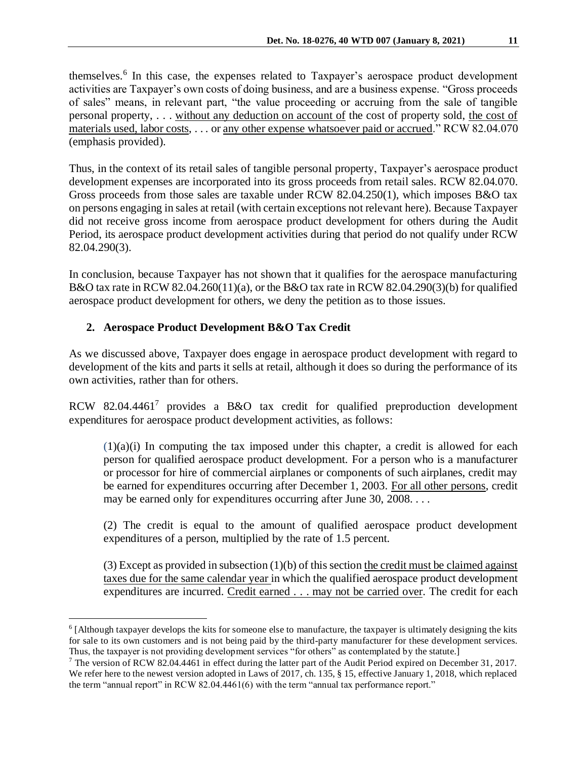themselves. 6 In this case, the expenses related to Taxpayer's aerospace product development activities are Taxpayer's own costs of doing business, and are a business expense. "Gross proceeds of sales" means, in relevant part, "the value proceeding or accruing from the sale of tangible personal property, . . . without any deduction on account of the cost of property sold, the cost of materials used, labor costs, . . . or any other expense whatsoever paid or accrued." RCW 82.04.070 (emphasis provided).

Thus, in the context of its retail sales of tangible personal property, Taxpayer's aerospace product development expenses are incorporated into its gross proceeds from retail sales. RCW 82.04.070. Gross proceeds from those sales are taxable under RCW 82.04.250(1), which imposes B&O tax on persons engaging in sales at retail (with certain exceptions not relevant here). Because Taxpayer did not receive gross income from aerospace product development for others during the Audit Period, its aerospace product development activities during that period do not qualify under RCW 82.04.290(3).

In conclusion, because Taxpayer has not shown that it qualifies for the aerospace manufacturing B&O tax rate in RCW 82.04.260(11)(a), or the B&O tax rate in RCW 82.04.290(3)(b) for qualified aerospace product development for others, we deny the petition as to those issues.

# **2. Aerospace Product Development B&O Tax Credit**

 $\overline{a}$ 

As we discussed above, Taxpayer does engage in aerospace product development with regard to development of the kits and parts it sells at retail, although it does so during the performance of its own activities, rather than for others.

RCW 82.04.4461<sup>7</sup> provides a B&O tax credit for qualified preproduction development expenditures for aerospace product development activities, as follows:

 $(1)(a)(i)$  In computing the tax imposed under this chapter, a credit is allowed for each person for qualified aerospace product development. For a person who is a manufacturer or processor for hire of commercial airplanes or components of such airplanes, credit may be earned for expenditures occurring after December 1, 2003. For all other persons, credit may be earned only for expenditures occurring after June 30, 2008. . . .

(2) The credit is equal to the amount of qualified aerospace product development expenditures of a person, multiplied by the rate of 1.5 percent.

 $(3)$  Except as provided in subsection  $(1)(b)$  of this section the credit must be claimed against taxes due for the same calendar year in which the qualified aerospace product development expenditures are incurred. Credit earned . . . may not be carried over. The credit for each

 $6$  [Although taxpayer develops the kits for someone else to manufacture, the taxpayer is ultimately designing the kits for sale to its own customers and is not being paid by the third-party manufacturer for these development services. Thus, the taxpayer is not providing development services "for others" as contemplated by the statute.]

<sup>&</sup>lt;sup>7</sup> The version of RCW 82.04.4461 in effect during the latter part of the Audit Period expired on December 31, 2017. We refer here to the newest version adopted in Laws of 2017, ch. 135, § 15, effective January 1, 2018, which replaced the term "annual report" in RCW 82.04.4461(6) with the term "annual tax performance report."